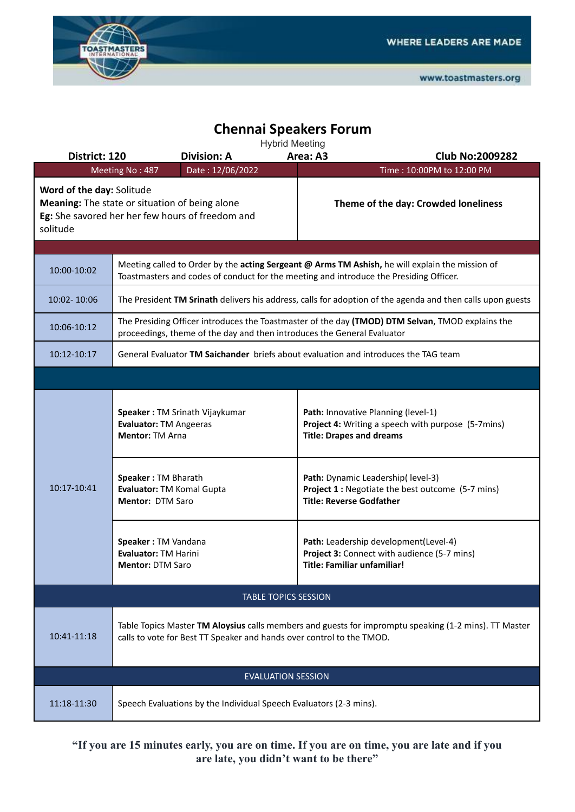

## **Chennai Speakers Forum**

| <b>Hybrid Meeting</b>                                                                                          |                                                                                                                                                                                           |                                      |                                                                                                                              |  |  |  |  |
|----------------------------------------------------------------------------------------------------------------|-------------------------------------------------------------------------------------------------------------------------------------------------------------------------------------------|--------------------------------------|------------------------------------------------------------------------------------------------------------------------------|--|--|--|--|
| District: 120                                                                                                  | <b>Division: A</b>                                                                                                                                                                        |                                      | Area: A3<br><b>Club No:2009282</b>                                                                                           |  |  |  |  |
| Date: 12/06/2022<br>Time: 10:00PM to 12:00 PM<br>Meeting No: 487<br>Word of the day: Solitude                  |                                                                                                                                                                                           |                                      |                                                                                                                              |  |  |  |  |
| Meaning: The state or situation of being alone<br>Eg: She savored her her few hours of freedom and<br>solitude |                                                                                                                                                                                           | Theme of the day: Crowded loneliness |                                                                                                                              |  |  |  |  |
|                                                                                                                |                                                                                                                                                                                           |                                      |                                                                                                                              |  |  |  |  |
| 10:00-10:02                                                                                                    | Meeting called to Order by the acting Sergeant @ Arms TM Ashish, he will explain the mission of<br>Toastmasters and codes of conduct for the meeting and introduce the Presiding Officer. |                                      |                                                                                                                              |  |  |  |  |
| 10:02-10:06                                                                                                    | The President TM Srinath delivers his address, calls for adoption of the agenda and then calls upon guests                                                                                |                                      |                                                                                                                              |  |  |  |  |
| 10:06-10:12                                                                                                    | The Presiding Officer introduces the Toastmaster of the day (TMOD) DTM Selvan, TMOD explains the<br>proceedings, theme of the day and then introduces the General Evaluator               |                                      |                                                                                                                              |  |  |  |  |
| 10:12-10:17                                                                                                    | General Evaluator TM Saichander briefs about evaluation and introduces the TAG team                                                                                                       |                                      |                                                                                                                              |  |  |  |  |
|                                                                                                                |                                                                                                                                                                                           |                                      |                                                                                                                              |  |  |  |  |
| 10:17-10:41                                                                                                    | Speaker: TM Srinath Vijaykumar<br>Evaluator: TM Angeeras<br><b>Mentor: TM Arna</b>                                                                                                        |                                      | Path: Innovative Planning (level-1)<br>Project 4: Writing a speech with purpose (5-7mins)<br><b>Title: Drapes and dreams</b> |  |  |  |  |
|                                                                                                                | Speaker: TM Bharath<br>Evaluator: TM Komal Gupta<br><b>Mentor: DTM Saro</b>                                                                                                               |                                      | Path: Dynamic Leadership( level-3)<br>Project 1 : Negotiate the best outcome (5-7 mins)<br><b>Title: Reverse Godfather</b>   |  |  |  |  |
|                                                                                                                | Speaker: TM Vandana<br><b>Evaluator: TM Harini</b><br><b>Mentor: DTM Saro</b>                                                                                                             |                                      | Path: Leadership development(Level-4)<br>Project 3: Connect with audience (5-7 mins)<br><b>Title: Familiar unfamiliar!</b>   |  |  |  |  |
| <b>TABLE TOPICS SESSION</b>                                                                                    |                                                                                                                                                                                           |                                      |                                                                                                                              |  |  |  |  |
| 10:41-11:18                                                                                                    | Table Topics Master TM Aloysius calls members and guests for impromptu speaking (1-2 mins). TT Master<br>calls to vote for Best TT Speaker and hands over control to the TMOD.            |                                      |                                                                                                                              |  |  |  |  |
| <b>EVALUATION SESSION</b>                                                                                      |                                                                                                                                                                                           |                                      |                                                                                                                              |  |  |  |  |
| 11:18-11:30                                                                                                    | Speech Evaluations by the Individual Speech Evaluators (2-3 mins).                                                                                                                        |                                      |                                                                                                                              |  |  |  |  |

**"If you are 15 minutes early, you are on time. If you are on time, you are late and if you are late, you didn't want to be there"**